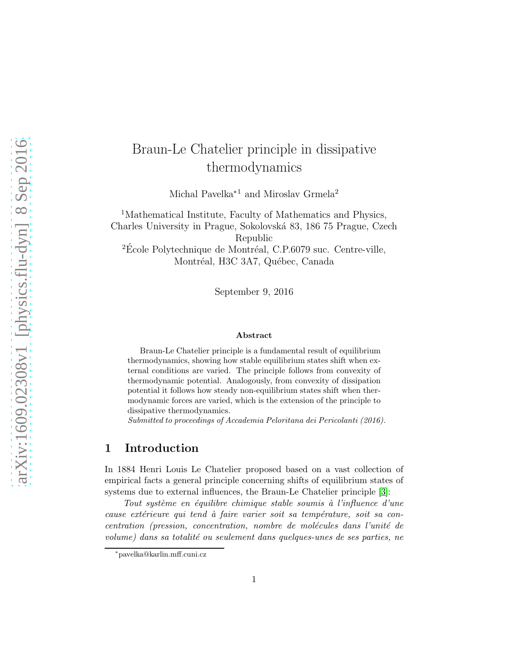# Braun-Le Chatelier principle in dissipative thermodynamics

Michal Pavelka<sup>∗1</sup> and Miroslav Grmela<sup>2</sup>

<sup>1</sup>Mathematical Institute, Faculty of Mathematics and Physics, Charles University in Prague, Sokolovská 83, 186 75 Prague, Czech Republic  $2$ École Polytechnique de Montréal, C.P.6079 suc. Centre-ville, Montréal, H3C 3A7, Québec, Canada

September 9, 2016

#### Abstract

Braun-Le Chatelier principle is a fundamental result of equilibrium thermodynamics, showing how stable equilibrium states shift when external conditions are varied. The principle follows from convexity of thermodynamic potential. Analogously, from convexity of dissipation potential it follows how steady non-equilibrium states shift when thermodynamic forces are varied, which is the extension of the principle to dissipative thermodynamics.

Submitted to proceedings of Accademia Peloritana dei Pericolanti (2016).

# 1 Introduction

In 1884 Henri Louis Le Chatelier proposed based on a vast collection of empirical facts a general principle concerning shifts of equilibrium states of systems due to external influences, the Braun-Le Chatelier principle [\[3\]](#page-10-0):

Tout système en équilibre chimique stable soumis à l'influence d'une cause extérieure qui tend à faire varier soit sa température, soit sa concentration (pression, concentration, nombre de molécules dans l'unité de volume) dans sa totalité ou seulement dans quelques-unes de ses parties, ne

<sup>∗</sup> pavelka@karlin.mff.cuni.cz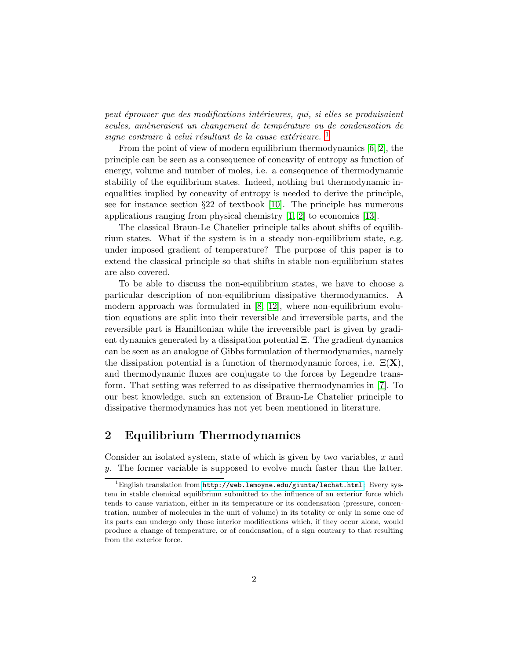peut éprouver que des modifications intérieures, qui, si elles se produisaient seules, amèneraient un changement de température ou de condensation de  $signe$  contraire à celui résultant de la cause extérieure.<sup>[1](#page-1-0)</sup>

From the point of view of modern equilibrium thermodynamics [\[6,](#page-10-1) [2\]](#page-10-2), the principle can be seen as a consequence of concavity of entropy as function of energy, volume and number of moles, i.e. a consequence of thermodynamic stability of the equilibrium states. Indeed, nothing but thermodynamic inequalities implied by concavity of entropy is needed to derive the principle, see for instance section §22 of textbook [\[10\]](#page-10-3). The principle has numerous applications ranging from physical chemistry [\[1,](#page-9-0) [2\]](#page-10-2) to economics [\[13\]](#page-10-4).

The classical Braun-Le Chatelier principle talks about shifts of equilibrium states. What if the system is in a steady non-equilibrium state, e.g. under imposed gradient of temperature? The purpose of this paper is to extend the classical principle so that shifts in stable non-equilibrium states are also covered.

To be able to discuss the non-equilibrium states, we have to choose a particular description of non-equilibrium dissipative thermodynamics. A modern approach was formulated in [\[8,](#page-10-5) [12\]](#page-10-6), where non-equilibrium evolution equations are split into their reversible and irreversible parts, and the reversible part is Hamiltonian while the irreversible part is given by gradient dynamics generated by a dissipation potential Ξ. The gradient dynamics can be seen as an analogue of Gibbs formulation of thermodynamics, namely the dissipation potential is a function of thermodynamic forces, i.e.  $\Xi(\mathbf{X})$ , and thermodynamic fluxes are conjugate to the forces by Legendre transform. That setting was referred to as dissipative thermodynamics in [\[7\]](#page-10-7). To our best knowledge, such an extension of Braun-Le Chatelier principle to dissipative thermodynamics has not yet been mentioned in literature.

# <span id="page-1-1"></span>2 Equilibrium Thermodynamics

Consider an isolated system, state of which is given by two variables,  $x$  and y. The former variable is supposed to evolve much faster than the latter.

<span id="page-1-0"></span> $^{1}$ English translation from  ${\tt http://web.lemoyne.edu/giunta/lechat.html:}$  ${\tt http://web.lemoyne.edu/giunta/lechat.html:}$  ${\tt http://web.lemoyne.edu/giunta/lechat.html:}$  Every system in stable chemical equilibrium submitted to the influence of an exterior force which tends to cause variation, either in its temperature or its condensation (pressure, concentration, number of molecules in the unit of volume) in its totality or only in some one of its parts can undergo only those interior modifications which, if they occur alone, would produce a change of temperature, or of condensation, of a sign contrary to that resulting from the exterior force.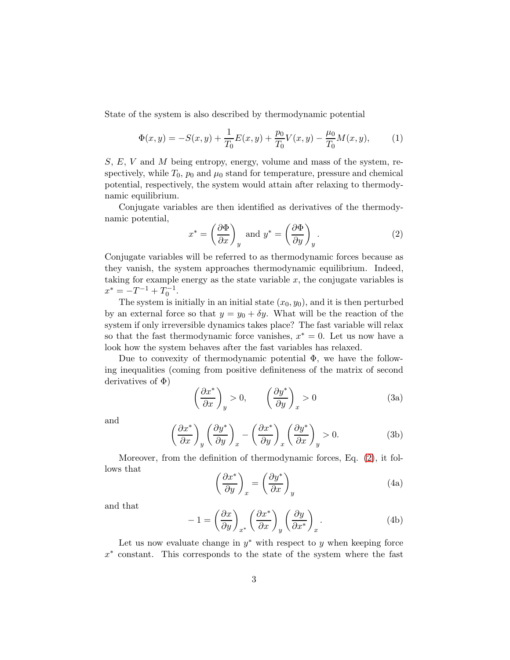State of the system is also described by thermodynamic potential

$$
\Phi(x,y) = -S(x,y) + \frac{1}{T_0}E(x,y) + \frac{p_0}{T_0}V(x,y) - \frac{\mu_0}{T_0}M(x,y),\tag{1}
$$

 $S, E, V$  and M being entropy, energy, volume and mass of the system, respectively, while  $T_0$ ,  $p_0$  and  $\mu_0$  stand for temperature, pressure and chemical potential, respectively, the system would attain after relaxing to thermodynamic equilibrium.

Conjugate variables are then identified as derivatives of the thermodynamic potential,

<span id="page-2-0"></span>
$$
x^* = \left(\frac{\partial \Phi}{\partial x}\right)_y \text{ and } y^* = \left(\frac{\partial \Phi}{\partial y}\right)_y. \tag{2}
$$

Conjugate variables will be referred to as thermodynamic forces because as they vanish, the system approaches thermodynamic equilibrium. Indeed, taking for example energy as the state variable  $x$ , the conjugate variables is  $x^* = -T^{-1} + T_0^{-1}.$ 

The system is initially in an initial state  $(x_0, y_0)$ , and it is then perturbed by an external force so that  $y = y_0 + \delta y$ . What will be the reaction of the system if only irreversible dynamics takes place? The fast variable will relax so that the fast thermodynamic force vanishes,  $x^* = 0$ . Let us now have a look how the system behaves after the fast variables has relaxed.

Due to convexity of thermodynamic potential Φ, we have the following inequalities (coming from positive definiteness of the matrix of second derivatives of  $\Phi$ )

<span id="page-2-4"></span><span id="page-2-2"></span>
$$
\left(\frac{\partial x^*}{\partial x}\right)_y > 0, \qquad \left(\frac{\partial y^*}{\partial y}\right)_x > 0 \tag{3a}
$$

and

$$
\left(\frac{\partial x^*}{\partial x}\right)_y \left(\frac{\partial y^*}{\partial y}\right)_x - \left(\frac{\partial x^*}{\partial y}\right)_x \left(\frac{\partial y^*}{\partial x}\right)_y > 0.
$$
 (3b)

<span id="page-2-3"></span>Moreover, from the definition of thermodynamic forces, Eq. [\(2\)](#page-2-0), it follows that

$$
\left(\frac{\partial x^*}{\partial y}\right)_x = \left(\frac{\partial y^*}{\partial x}\right)_y \tag{4a}
$$

and that

<span id="page-2-1"></span>
$$
-1 = \left(\frac{\partial x}{\partial y}\right)_{x^*} \left(\frac{\partial x^*}{\partial x}\right)_y \left(\frac{\partial y}{\partial x^*}\right)_x.
$$
 (4b)

Let us now evaluate change in  $y^*$  with respect to y when keeping force x ∗ constant. This corresponds to the state of the system where the fast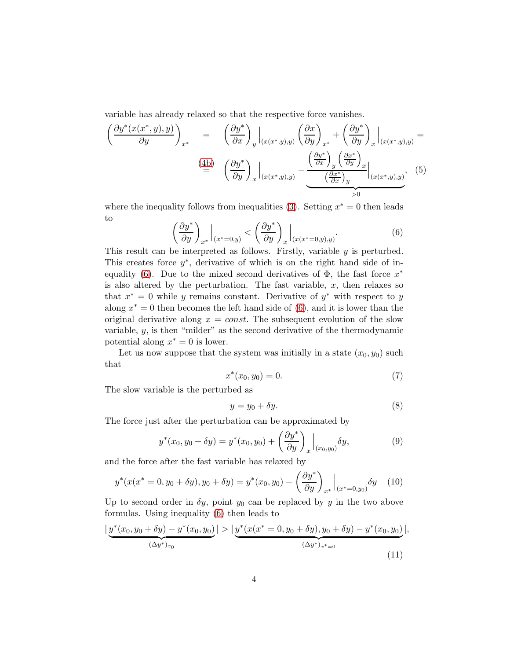variable has already relaxed so that the respective force vanishes.

$$
\left(\frac{\partial y^*(x(x^*,y),y)}{\partial y}\right)_{x^*} = \left(\frac{\partial y^*}{\partial x}\right)_y \Big|_{(x(x^*,y),y)} \left(\frac{\partial x}{\partial y}\right)_{x^*} + \left(\frac{\partial y^*}{\partial y}\right)_x \Big|_{(x(x^*,y),y)} =
$$
\n
$$
\stackrel{\text{(4b)}}{=} \left(\frac{\partial y^*}{\partial y}\right)_x \Big|_{(x(x^*,y),y)} - \underbrace{\left(\frac{\partial y^*}{\partial x}\right)_y \left(\frac{\partial x^*}{\partial y}\right)_x}_{\text{(4c)}} \Big|_{(x(x^*,y),y)}, \quad (5)
$$

where the inequality follows from inequalities [\(3\)](#page-2-2). Setting  $x^* = 0$  then leads to

<span id="page-3-0"></span>
$$
\left(\frac{\partial y^*}{\partial y}\right)_{x^*} \Big|_{(x^*=0,y)} < \left(\frac{\partial y^*}{\partial y}\right)_x \Big|_{(x(x^*=0,y),y)}.\tag{6}
$$

This result can be interpreted as follows. Firstly, variable y is perturbed. This creates force  $y^*$ , derivative of which is on the right hand side of in-equality [\(6\)](#page-3-0). Due to the mixed second derivatives of  $\Phi$ , the fast force  $x^*$ is also altered by the perturbation. The fast variable,  $x$ , then relaxes so that  $x^* = 0$  while y remains constant. Derivative of  $y^*$  with respect to y along  $x^* = 0$  then becomes the left hand side of [\(6\)](#page-3-0), and it is lower than the original derivative along  $x = const$ . The subsequent evolution of the slow variable,  $y$ , is then "milder" as the second derivative of the thermodynamic potential along  $x^* = 0$  is lower.

Let us now suppose that the system was initially in a state  $(x_0, y_0)$  such that

$$
x^*(x_0, y_0) = 0.\t\t(7)
$$

The slow variable is the perturbed as

$$
y = y_0 + \delta y. \tag{8}
$$

The force just after the perturbation can be approximated by

$$
y^*(x_0, y_0 + \delta y) = y^*(x_0, y_0) + \left(\frac{\partial y^*}{\partial y}\right)_x \Big|_{(x_0, y_0)} \delta y,\tag{9}
$$

and the force after the fast variable has relaxed by

$$
y^*(x(x^* = 0, y_0 + \delta y), y_0 + \delta y) = y^*(x_0, y_0) + \left(\frac{\partial y^*}{\partial y}\right)_{x^*}\Big|_{(x^* = 0, y_0)} \delta y \quad (10)
$$

Up to second order in  $\delta y$ , point  $y_0$  can be replaced by y in the two above formulas. Using inequality [\(6\)](#page-3-0) then leads to

<span id="page-3-1"></span>
$$
\left| \underbrace{y^*(x_0, y_0 + \delta y) - y^*(x_0, y_0)}_{(\Delta y^*)_{x_0}} \right| > \left| \underbrace{y^*(x(x^* = 0, y_0 + \delta y), y_0 + \delta y) - y^*(x_0, y_0)}_{(\Delta y^*)_{x^* = 0}} \right|, \tag{11}
$$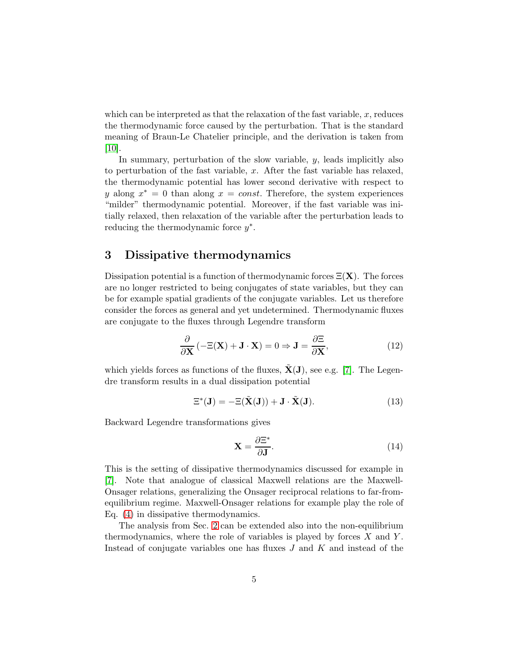which can be interpreted as that the relaxation of the fast variable,  $x$ , reduces the thermodynamic force caused by the perturbation. That is the standard meaning of Braun-Le Chatelier principle, and the derivation is taken from [\[10\]](#page-10-3).

In summary, perturbation of the slow variable,  $y$ , leads implicitly also to perturbation of the fast variable,  $x$ . After the fast variable has relaxed, the thermodynamic potential has lower second derivative with respect to y along  $x^* = 0$  than along  $x = const$ . Therefore, the system experiences "milder" thermodynamic potential. Moreover, if the fast variable was initially relaxed, then relaxation of the variable after the perturbation leads to reducing the thermodynamic force  $y^*$ .

# 3 Dissipative thermodynamics

Dissipation potential is a function of thermodynamic forces  $\Xi(\mathbf{X})$ . The forces are no longer restricted to being conjugates of state variables, but they can be for example spatial gradients of the conjugate variables. Let us therefore consider the forces as general and yet undetermined. Thermodynamic fluxes are conjugate to the fluxes through Legendre transform

$$
\frac{\partial}{\partial \mathbf{X}} \left( -\Xi(\mathbf{X}) + \mathbf{J} \cdot \mathbf{X} \right) = 0 \Rightarrow \mathbf{J} = \frac{\partial \Xi}{\partial \mathbf{X}},\tag{12}
$$

which yields forces as functions of the fluxes,  $\mathbf{X}(\mathbf{J})$ , see e.g. [\[7\]](#page-10-7). The Legendre transform results in a dual dissipation potential

$$
\Xi^*(J) = -\Xi(\tilde{X}(J)) + J \cdot \tilde{X}(J). \tag{13}
$$

Backward Legendre transformations gives

$$
\mathbf{X} = \frac{\partial \Xi^*}{\partial \mathbf{J}}.
$$
 (14)

This is the setting of dissipative thermodynamics discussed for example in [\[7\]](#page-10-7). Note that analogue of classical Maxwell relations are the Maxwell-Onsager relations, generalizing the Onsager reciprocal relations to far-fromequilibrium regime. Maxwell-Onsager relations for example play the role of Eq. [\(4\)](#page-2-3) in dissipative thermodynamics.

The analysis from Sec. [2](#page-1-1) can be extended also into the non-equilibrium thermodynamics, where the role of variables is played by forces  $X$  and  $Y$ . Instead of conjugate variables one has fluxes  $J$  and  $K$  and instead of the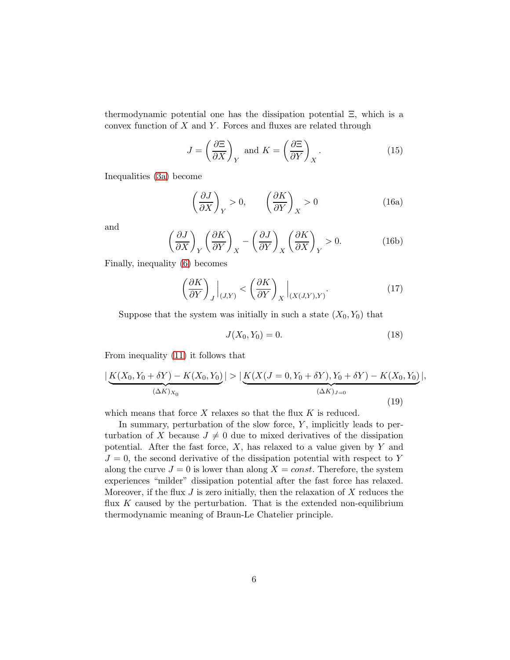thermodynamic potential one has the dissipation potential Ξ, which is a convex function of  $X$  and  $Y$ . Forces and fluxes are related through

$$
J = \left(\frac{\partial \Xi}{\partial X}\right)_Y \text{ and } K = \left(\frac{\partial \Xi}{\partial Y}\right)_X. \tag{15}
$$

Inequalities [\(3a\)](#page-2-4) become

$$
\left(\frac{\partial J}{\partial X}\right)_Y > 0, \qquad \left(\frac{\partial K}{\partial Y}\right)_X > 0 \tag{16a}
$$

and

$$
\left(\frac{\partial J}{\partial X}\right)_Y \left(\frac{\partial K}{\partial Y}\right)_X - \left(\frac{\partial J}{\partial Y}\right)_X \left(\frac{\partial K}{\partial X}\right)_Y > 0.
$$
 (16b)

Finally, inequality [\(6\)](#page-3-0) becomes

<span id="page-5-0"></span>
$$
\left(\frac{\partial K}{\partial Y}\right)_J\Big|_{(J,Y)} < \left(\frac{\partial K}{\partial Y}\right)_X\Big|_{(X(J,Y),Y)}.\tag{17}
$$

Suppose that the system was initially in such a state  $(X_0, Y_0)$  that

$$
J(X_0, Y_0) = 0.\t(18)
$$

From inequality [\(11\)](#page-3-1) it follows that

<span id="page-5-1"></span>
$$
\left| \underbrace{K(X_0, Y_0 + \delta Y) - K(X_0, Y_0)}_{(\Delta K)_{X_0}} \right| > \left| \underbrace{K(X(J = 0, Y_0 + \delta Y), Y_0 + \delta Y) - K(X_0, Y_0)}_{(\Delta K)_{J = 0}} \right|,
$$
\n(19)

which means that force  $X$  relaxes so that the flux  $K$  is reduced.

In summary, perturbation of the slow force,  $Y$ , implicitly leads to perturbation of X because  $J \neq 0$  due to mixed derivatives of the dissipation potential. After the fast force,  $X$ , has relaxed to a value given by  $Y$  and  $J = 0$ , the second derivative of the dissipation potential with respect to Y along the curve  $J = 0$  is lower than along  $X = const$ . Therefore, the system experiences "milder" dissipation potential after the fast force has relaxed. Moreover, if the flux  $J$  is zero initially, then the relaxation of  $X$  reduces the flux  $K$  caused by the perturbation. That is the extended non-equilibrium thermodynamic meaning of Braun-Le Chatelier principle.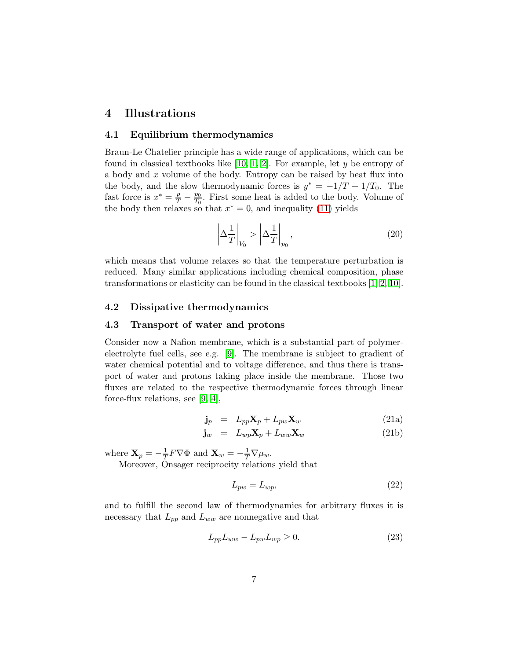# 4 Illustrations

#### 4.1 Equilibrium thermodynamics

Braun-Le Chatelier principle has a wide range of applications, which can be found in classical textbooks like  $[10, 1, 2]$  $[10, 1, 2]$  $[10, 1, 2]$ . For example, let y be entropy of a body and  $x$  volume of the body. Entropy can be raised by heat flux into the body, and the slow thermodynamic forces is  $y^* = -1/T + 1/T_0$ . The fast force is  $x^* = \frac{p}{T} - \frac{p_0}{T_0}$  $\frac{p_0}{T_0}$ . First some heat is added to the body. Volume of the body then relaxes so that  $x^* = 0$ , and inequality [\(11\)](#page-3-1) yields

$$
\left|\Delta \frac{1}{T}\right|_{V_0} > \left|\Delta \frac{1}{T}\right|_{p_0},\tag{20}
$$

which means that volume relaxes so that the temperature perturbation is reduced. Many similar applications including chemical composition, phase transformations or elasticity can be found in the classical textbooks [\[1,](#page-9-0) [2,](#page-10-2) [10\]](#page-10-3).

#### 4.2 Dissipative thermodynamics

### 4.3 Transport of water and protons

Consider now a Nafion membrane, which is a substantial part of polymerelectrolyte fuel cells, see e.g. [\[9\]](#page-10-8). The membrane is subject to gradient of water chemical potential and to voltage difference, and thus there is transport of water and protons taking place inside the membrane. Those two fluxes are related to the respective thermodynamic forces through linear force-flux relations, see [\[9,](#page-10-8) [4\]](#page-10-9),

<span id="page-6-0"></span>
$$
\mathbf{j}_p = L_{pp} \mathbf{X}_p + L_{pw} \mathbf{X}_w \tag{21a}
$$

$$
\mathbf{j}_w = L_{wp} \mathbf{X}_p + L_{ww} \mathbf{X}_w \tag{21b}
$$

where  $\mathbf{X}_p = -\frac{1}{T} F \nabla \Phi$  and  $\mathbf{X}_w = -\frac{1}{T} \nabla \mu_w$ .

Moreover, Onsager reciprocity relations yield that

$$
L_{pw} = L_{wp},\tag{22}
$$

and to fulfill the second law of thermodynamics for arbitrary fluxes it is necessary that  $L_{pp}$  and  $L_{ww}$  are nonnegative and that

$$
L_{pp}L_{ww} - L_{pw}L_{wp} \ge 0.
$$
\n<sup>(23)</sup>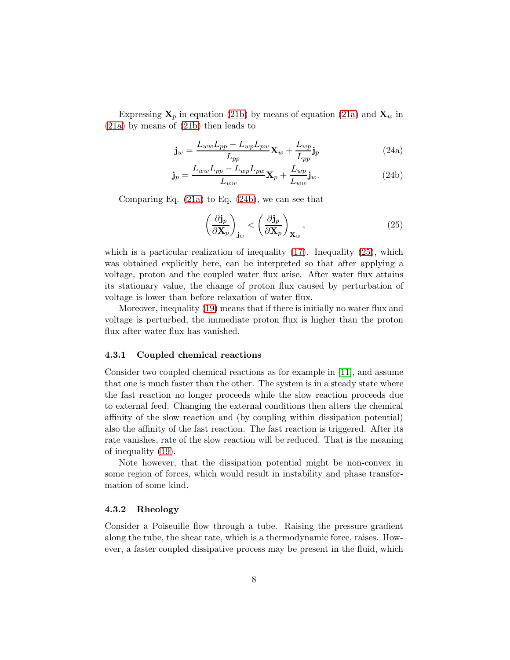Expressing  $\mathbf{X}_p$  in equation [\(21b\)](#page-6-0) by means of equation [\(21a\)](#page-6-0) and  $\mathbf{X}_w$  in [\(21a\)](#page-6-0) by means of [\(21b\)](#page-6-0) then leads to

<span id="page-7-0"></span>
$$
\mathbf{j}_w = \frac{L_{ww}L_{pp} - L_{wp}L_{pw}}{L_{pp}} \mathbf{X}_w + \frac{L_{wp}}{L_{pp}} \mathbf{j}_p
$$
(24a)

$$
\mathbf{j}_p = \frac{L_{ww}L_{pp} - L_{wp}L_{pw}}{L_{ww}} \mathbf{X}_p + \frac{L_{wp}}{L_{ww}} \mathbf{j}_w.
$$
 (24b)

Comparing Eq. [\(21a\)](#page-6-0) to Eq. [\(24b\)](#page-7-0), we can see that

<span id="page-7-1"></span>
$$
\left(\frac{\partial \mathbf{j}_p}{\partial \mathbf{X}_p}\right)_{\mathbf{j}_w} < \left(\frac{\partial \mathbf{j}_p}{\partial \mathbf{X}_p}\right)_{\mathbf{X}_w},\tag{25}
$$

which is a particular realization of inequality  $(17)$ . Inequality  $(25)$ , which was obtained explicitly here, can be interpreted so that after applying a voltage, proton and the coupled water flux arise. After water flux attains its stationary value, the change of proton flux caused by perturbation of voltage is lower than before relaxation of water flux.

Moreover, inequality [\(19\)](#page-5-1) means that if there is initially no water flux and voltage is perturbed, the immediate proton flux is higher than the proton flux after water flux has vanished.

#### 4.3.1 Coupled chemical reactions

Consider two coupled chemical reactions as for example in [\[11\]](#page-10-10), and assume that one is much faster than the other. The system is in a steady state where the fast reaction no longer proceeds while the slow reaction proceeds due to external feed. Changing the external conditions then alters the chemical affinity of the slow reaction and (by coupling within dissipation potential) also the affinity of the fast reaction. The fast reaction is triggered. After its rate vanishes, rate of the slow reaction will be reduced. That is the meaning of inequality [\(19\)](#page-5-1).

Note however, that the dissipation potential might be non-convex in some region of forces, which would result in instability and phase transformation of some kind.

#### 4.3.2 Rheology

Consider a Poiseuille flow through a tube. Raising the pressure gradient along the tube, the shear rate, which is a thermodynamic force, raises. However, a faster coupled dissipative process may be present in the fluid, which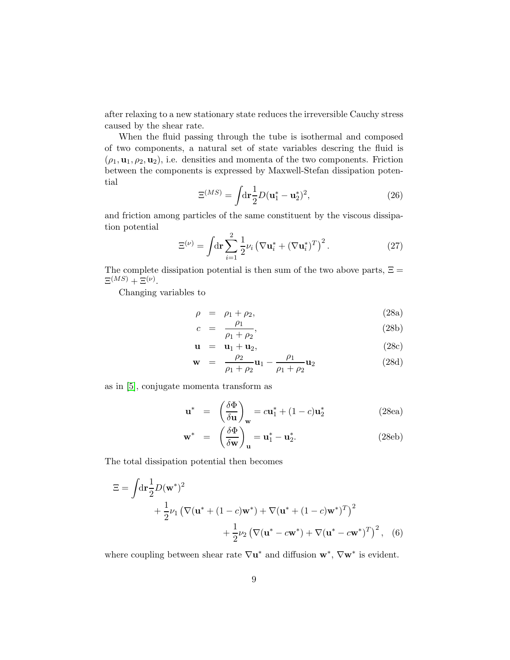after relaxing to a new stationary state reduces the irreversible Cauchy stress caused by the shear rate.

When the fluid passing through the tube is isothermal and composed of two components, a natural set of state variables descring the fluid is  $(\rho_1, \mathbf{u}_1, \rho_2, \mathbf{u}_2)$ , i.e. densities and momenta of the two components. Friction between the components is expressed by Maxwell-Stefan dissipation potential

$$
\Xi^{(MS)} = \int d\mathbf{r} \frac{1}{2} D(\mathbf{u}_1^* - \mathbf{u}_2^*)^2,\tag{26}
$$

and friction among particles of the same constituent by the viscous dissipation potential

$$
\Xi^{(\nu)} = \int d\mathbf{r} \sum_{i=1}^{2} \frac{1}{2} \nu_i \left( \nabla \mathbf{u}_i^* + (\nabla \mathbf{u}_i^*)^T \right)^2.
$$
 (27)

The complete dissipation potential is then sum of the two above parts,  $\Xi =$  $\Xi^{(MS)}+\Xi^{(\nu)}.$ 

Changing variables to

$$
\rho = \rho_1 + \rho_2,\tag{28a}
$$

$$
c = \frac{\rho_1}{\rho_1 + \rho_2},\tag{28b}
$$

$$
\mathbf{u} = \mathbf{u}_1 + \mathbf{u}_2, \tag{28c}
$$

$$
\mathbf{w} = \frac{\rho_2}{\rho_1 + \rho_2} \mathbf{u}_1 - \frac{\rho_1}{\rho_1 + \rho_2} \mathbf{u}_2
$$
 (28d)

as in [\[5\]](#page-10-11), conjugate momenta transform as

$$
\mathbf{u}^* = \left(\frac{\delta \Phi}{\delta \mathbf{u}}\right)_\mathbf{w} = c\mathbf{u}_1^* + (1 - c)\mathbf{u}_2^* \tag{28ea}
$$

$$
\mathbf{w}^* = \left(\frac{\delta \Phi}{\delta \mathbf{w}}\right)_\mathbf{u} = \mathbf{u}_1^* - \mathbf{u}_2^*.
$$
 (28eb)

The total dissipation potential then becomes

$$
\Xi = \int d\mathbf{r} \frac{1}{2} D(\mathbf{w}^*)^2 \n+ \frac{1}{2} \nu_1 \left( \nabla (\mathbf{u}^* + (1-c)\mathbf{w}^*) + \nabla (\mathbf{u}^* + (1-c)\mathbf{w}^*)^T \right)^2 \n+ \frac{1}{2} \nu_2 \left( \nabla (\mathbf{u}^* - c\mathbf{w}^*) + \nabla (\mathbf{u}^* - c\mathbf{w}^*)^T \right)^2, \quad (6)
$$

where coupling between shear rate  $\nabla \mathbf{u}^*$  and diffusion  $\mathbf{w}^*, \nabla \mathbf{w}^*$  is evident.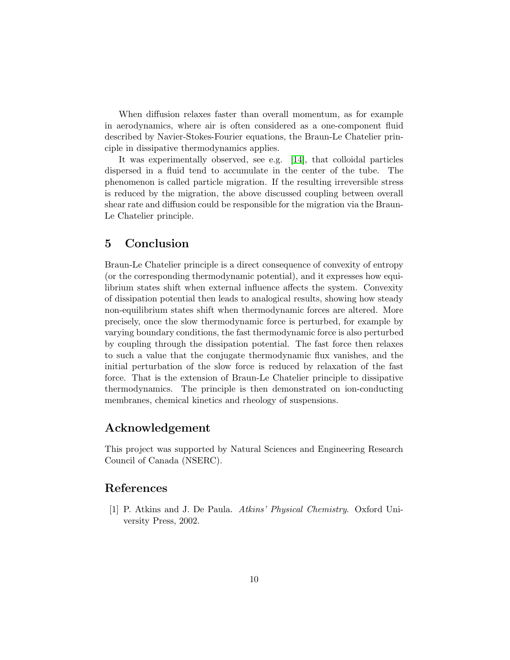When diffusion relaxes faster than overall momentum, as for example in aerodynamics, where air is often considered as a one-component fluid described by Navier-Stokes-Fourier equations, the Braun-Le Chatelier principle in dissipative thermodynamics applies.

It was experimentally observed, see e.g. [\[14\]](#page-10-12), that colloidal particles dispersed in a fluid tend to accumulate in the center of the tube. The phenomenon is called particle migration. If the resulting irreversible stress is reduced by the migration, the above discussed coupling between overall shear rate and diffusion could be responsible for the migration via the Braun-Le Chatelier principle.

# 5 Conclusion

Braun-Le Chatelier principle is a direct consequence of convexity of entropy (or the corresponding thermodynamic potential), and it expresses how equilibrium states shift when external influence affects the system. Convexity of dissipation potential then leads to analogical results, showing how steady non-equilibrium states shift when thermodynamic forces are altered. More precisely, once the slow thermodynamic force is perturbed, for example by varying boundary conditions, the fast thermodynamic force is also perturbed by coupling through the dissipation potential. The fast force then relaxes to such a value that the conjugate thermodynamic flux vanishes, and the initial perturbation of the slow force is reduced by relaxation of the fast force. That is the extension of Braun-Le Chatelier principle to dissipative thermodynamics. The principle is then demonstrated on ion-conducting membranes, chemical kinetics and rheology of suspensions.

# Acknowledgement

This project was supported by Natural Sciences and Engineering Research Council of Canada (NSERC).

### <span id="page-9-0"></span>References

[1] P. Atkins and J. De Paula. Atkins' Physical Chemistry. Oxford University Press, 2002.